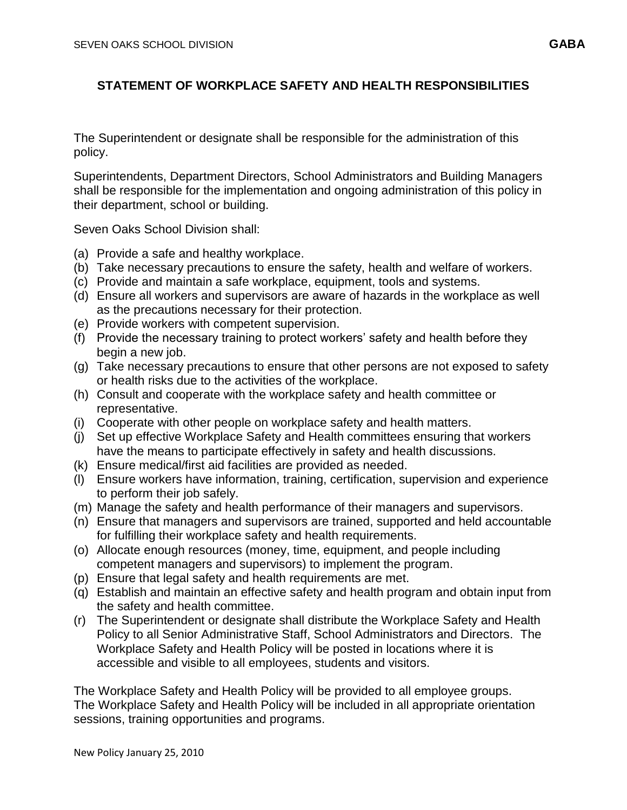## **STATEMENT OF WORKPLACE SAFETY AND HEALTH RESPONSIBILITIES**

The Superintendent or designate shall be responsible for the administration of this policy.

Superintendents, Department Directors, School Administrators and Building Managers shall be responsible for the implementation and ongoing administration of this policy in their department, school or building.

Seven Oaks School Division shall:

- (a) Provide a safe and healthy workplace.
- (b) Take necessary precautions to ensure the safety, health and welfare of workers.
- (c) Provide and maintain a safe workplace, equipment, tools and systems.
- (d) Ensure all workers and supervisors are aware of hazards in the workplace as well as the precautions necessary for their protection.
- (e) Provide workers with competent supervision.
- (f) Provide the necessary training to protect workers' safety and health before they begin a new job.
- (g) Take necessary precautions to ensure that other persons are not exposed to safety or health risks due to the activities of the workplace.
- (h) Consult and cooperate with the workplace safety and health committee or representative.
- (i) Cooperate with other people on workplace safety and health matters.
- (j) Set up effective Workplace Safety and Health committees ensuring that workers have the means to participate effectively in safety and health discussions.
- (k) Ensure medical/first aid facilities are provided as needed.
- (l) Ensure workers have information, training, certification, supervision and experience to perform their job safely.
- (m) Manage the safety and health performance of their managers and supervisors.
- (n) Ensure that managers and supervisors are trained, supported and held accountable for fulfilling their workplace safety and health requirements.
- (o) Allocate enough resources (money, time, equipment, and people including competent managers and supervisors) to implement the program.
- (p) Ensure that legal safety and health requirements are met.
- (q) Establish and maintain an effective safety and health program and obtain input from the safety and health committee.
- (r) The Superintendent or designate shall distribute the Workplace Safety and Health Policy to all Senior Administrative Staff, School Administrators and Directors. The Workplace Safety and Health Policy will be posted in locations where it is accessible and visible to all employees, students and visitors.

The Workplace Safety and Health Policy will be provided to all employee groups. The Workplace Safety and Health Policy will be included in all appropriate orientation sessions, training opportunities and programs.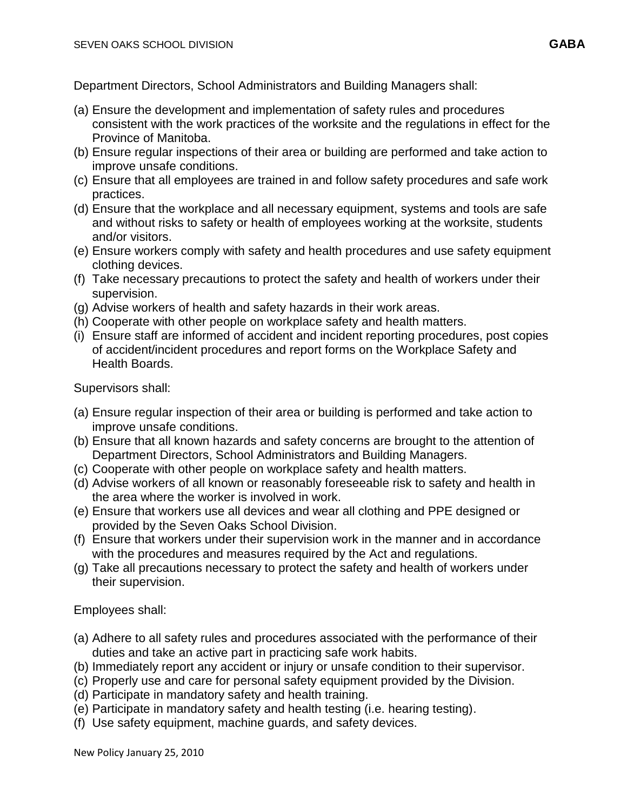Department Directors, School Administrators and Building Managers shall:

- (a) Ensure the development and implementation of safety rules and procedures consistent with the work practices of the worksite and the regulations in effect for the Province of Manitoba.
- (b) Ensure regular inspections of their area or building are performed and take action to improve unsafe conditions.
- (c) Ensure that all employees are trained in and follow safety procedures and safe work practices.
- (d) Ensure that the workplace and all necessary equipment, systems and tools are safe and without risks to safety or health of employees working at the worksite, students and/or visitors.
- (e) Ensure workers comply with safety and health procedures and use safety equipment clothing devices.
- (f) Take necessary precautions to protect the safety and health of workers under their supervision.
- (g) Advise workers of health and safety hazards in their work areas.
- (h) Cooperate with other people on workplace safety and health matters.
- (i) Ensure staff are informed of accident and incident reporting procedures, post copies of accident/incident procedures and report forms on the Workplace Safety and Health Boards.

Supervisors shall:

- (a) Ensure regular inspection of their area or building is performed and take action to improve unsafe conditions.
- (b) Ensure that all known hazards and safety concerns are brought to the attention of Department Directors, School Administrators and Building Managers.
- (c) Cooperate with other people on workplace safety and health matters.
- (d) Advise workers of all known or reasonably foreseeable risk to safety and health in the area where the worker is involved in work.
- (e) Ensure that workers use all devices and wear all clothing and PPE designed or provided by the Seven Oaks School Division.
- (f) Ensure that workers under their supervision work in the manner and in accordance with the procedures and measures required by the Act and regulations.
- (g) Take all precautions necessary to protect the safety and health of workers under their supervision.

Employees shall:

- (a) Adhere to all safety rules and procedures associated with the performance of their duties and take an active part in practicing safe work habits.
- (b) Immediately report any accident or injury or unsafe condition to their supervisor.
- (c) Properly use and care for personal safety equipment provided by the Division.
- (d) Participate in mandatory safety and health training.
- (e) Participate in mandatory safety and health testing (i.e. hearing testing).
- (f) Use safety equipment, machine guards, and safety devices.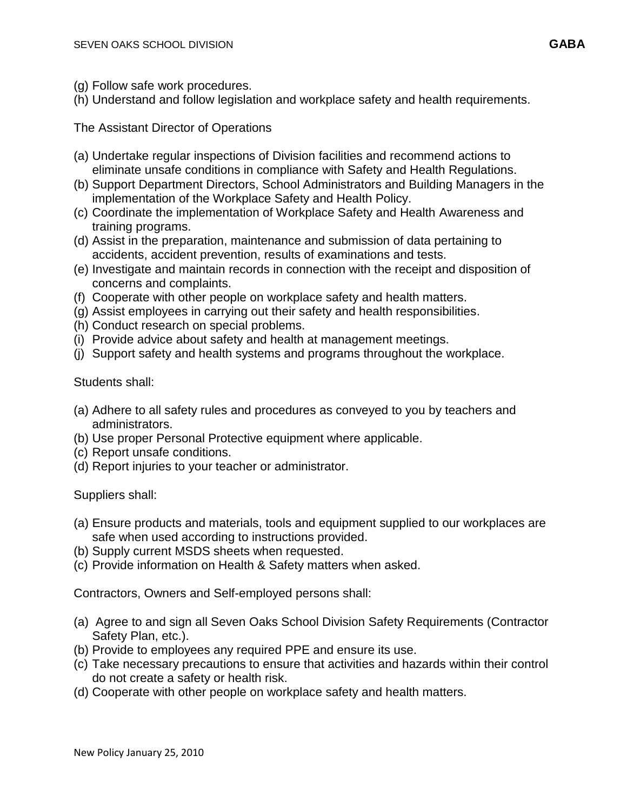- (g) Follow safe work procedures.
- (h) Understand and follow legislation and workplace safety and health requirements.

The Assistant Director of Operations

- (a) Undertake regular inspections of Division facilities and recommend actions to eliminate unsafe conditions in compliance with Safety and Health Regulations.
- (b) Support Department Directors, School Administrators and Building Managers in the implementation of the Workplace Safety and Health Policy.
- (c) Coordinate the implementation of Workplace Safety and Health Awareness and training programs.
- (d) Assist in the preparation, maintenance and submission of data pertaining to accidents, accident prevention, results of examinations and tests.
- (e) Investigate and maintain records in connection with the receipt and disposition of concerns and complaints.
- (f) Cooperate with other people on workplace safety and health matters.
- (g) Assist employees in carrying out their safety and health responsibilities.
- (h) Conduct research on special problems.
- (i) Provide advice about safety and health at management meetings.
- (j) Support safety and health systems and programs throughout the workplace.

Students shall:

- (a) Adhere to all safety rules and procedures as conveyed to you by teachers and administrators.
- (b) Use proper Personal Protective equipment where applicable.
- (c) Report unsafe conditions.
- (d) Report injuries to your teacher or administrator.

Suppliers shall:

- (a) Ensure products and materials, tools and equipment supplied to our workplaces are safe when used according to instructions provided.
- (b) Supply current MSDS sheets when requested.
- (c) Provide information on Health & Safety matters when asked.

Contractors, Owners and Self-employed persons shall:

- (a) Agree to and sign all Seven Oaks School Division Safety Requirements (Contractor Safety Plan, etc.).
- (b) Provide to employees any required PPE and ensure its use.
- (c) Take necessary precautions to ensure that activities and hazards within their control do not create a safety or health risk.
- (d) Cooperate with other people on workplace safety and health matters.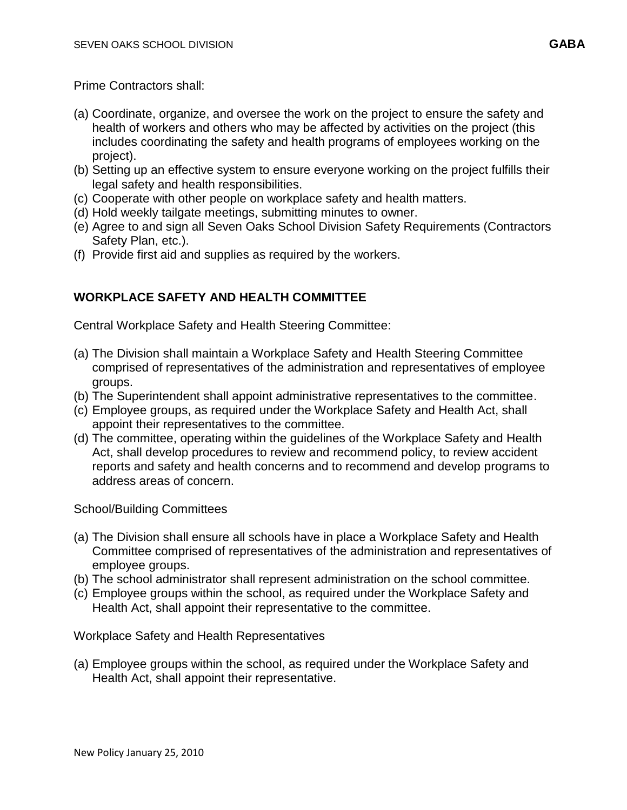Prime Contractors shall:

- (a) Coordinate, organize, and oversee the work on the project to ensure the safety and health of workers and others who may be affected by activities on the project (this includes coordinating the safety and health programs of employees working on the project).
- (b) Setting up an effective system to ensure everyone working on the project fulfills their legal safety and health responsibilities.
- (c) Cooperate with other people on workplace safety and health matters.
- (d) Hold weekly tailgate meetings, submitting minutes to owner.
- (e) Agree to and sign all Seven Oaks School Division Safety Requirements (Contractors Safety Plan, etc.).
- (f) Provide first aid and supplies as required by the workers.

# **WORKPLACE SAFETY AND HEALTH COMMITTEE**

Central Workplace Safety and Health Steering Committee:

- (a) The Division shall maintain a Workplace Safety and Health Steering Committee comprised of representatives of the administration and representatives of employee groups.
- (b) The Superintendent shall appoint administrative representatives to the committee.
- (c) Employee groups, as required under the Workplace Safety and Health Act, shall appoint their representatives to the committee.
- (d) The committee, operating within the guidelines of the Workplace Safety and Health Act, shall develop procedures to review and recommend policy, to review accident reports and safety and health concerns and to recommend and develop programs to address areas of concern.

School/Building Committees

- (a) The Division shall ensure all schools have in place a Workplace Safety and Health Committee comprised of representatives of the administration and representatives of employee groups.
- (b) The school administrator shall represent administration on the school committee.
- (c) Employee groups within the school, as required under the Workplace Safety and Health Act, shall appoint their representative to the committee.

Workplace Safety and Health Representatives

(a) Employee groups within the school, as required under the Workplace Safety and Health Act, shall appoint their representative.